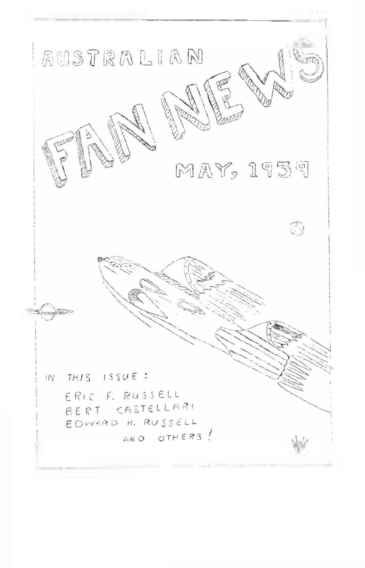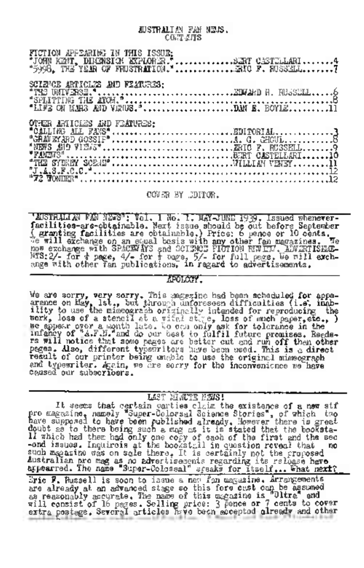JUSTRALIAN FAN NEWS. **CONTAITS** 

| FICTION APPEARING IN THIS ISSUE:<br>TICHOR MPHEMART IS THIS ISSUE:<br>"JOHN KETL, DIKENSICH EXPLORER."<br>"5998, THE YEAR OF FRUSTRATION."RRU F. RUSSELL |  |
|----------------------------------------------------------------------------------------------------------------------------------------------------------|--|
|                                                                                                                                                          |  |
|                                                                                                                                                          |  |
|                                                                                                                                                          |  |
|                                                                                                                                                          |  |

COVER BY CDITOR.

'MISTRIMIAN FAN NEWST Vol. 1 No. 1. MATRIME 1939, Issued whenever-<br>facilities-are-obtainable. Next issue should be out hefore September<br>(graphing facilities are obtainable.) Price: 6 perce or 10 cents.<br>The wall exchange o

**APOLOGY** 

We are sorry, very sorry. This magnetic had been scheduled for appearance on Eay, but, but through unforeseen difficulties (i.e. inch-<br>ility to use the misseograph originally intended for reproducing the<br>series, loss of a result of our printer being ungoin to use the original mimeograph and typewriter. Again, we are sorry for the inconvenience we have Caused our subscribers.

LET MATE ENS!

It seems that cartes claim and the solutions is claim the existence of a new sife<br>promagnation, namely "Super-Colorsal Science Stories", of which the<br>have supposed to have been published already. However there is greet<br>dou Australian pro mag as no advertisements regarding its reliese heve appro-Eric F. Russell is soon to issue a new fon magazine. Arrangements entry heaster a feature and the state of this fore cast can be assumed as reasonably accurate. The mann of this magazine is "Oltre" and the mail constraint in the second of this magazine is "Oltre" and the extra postes. Se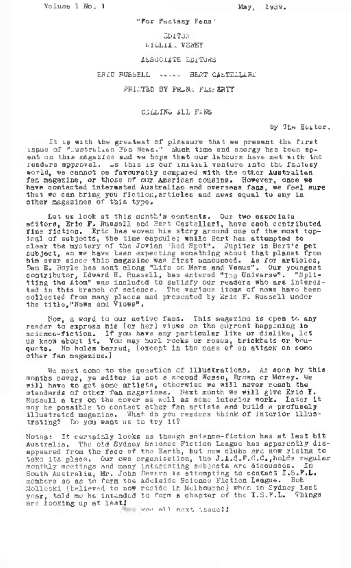Volume 1 No. 1 May, 1939.

"For Fantasy Fans''

EDITOR 12 'AILLiA-J VENEY

ASSOCIATE EDITORS

ERIC RUSSELL -------- BERT CASTELLARI

PRINTED BY FRANA FLAr.ERTY

CALLING ALL FANS

by The Emtor.

It is with the greatest of pleasure that we present the first issue of "..ustralian Fan News." Much time and energy has been spent on this magazine and we hope that our labours have met with the readers approval. As this is our initial venture into the factusy sorld, we cannot oe favourably compared with the other Australian fan magazine, or those of our American cousins. However, once we have contacted interested Australian and overseas fans, we feel sure that we can bring you fiction, articles and news equal to any in other magazines of this type.

Let us look at this month's contents. Our two associate editors, Eric F. Russell and Bert Castellari, have each contributed state of the most topical of subjects, the time compule; while Bort has attempted to lear the move of the subject of the conduction of the strength of the period of an avec distribution of the subject of the subject of the subject of the subje contributor, Edward H. Russell, has entered "The Universe". "Spli-tting the Atom" was included to satisfy our readers who are interested in this branch of science. The various items of news have been collected from many places and presented by Eric F. Russell under the title,"News and Views".

Now, a word to our active fans. This magazine is open to any reader to express his (or her) views on the current happening in science-fiction. If you have any particular like or dislike, let sciance-fiction. It you have any particular its or cisities, its<br>us know about it. You may hurl rocks or roses, brickbats or bou-<br>quets. No holes barred, (except in the case of an attack an some other fan magazine.)

We next come to the question of illustrations. As seen by this months cover, ye editor is not <sup>a</sup> second Wesso, Brown or Morey. V/e will have to get some artists, otherwise we will never reach the standards of other fan magazines. Next month we will give Eric F.<br>Russull a try on the cover as well as some interior work. Later it may be possible to contact other fan artists and build a profusely illustrated magazine. Nhat do you readers think of interior illustrating? Do you want us to try it?

Notas: It certainly looks as though science-fiction has at lest bit Australia. The old Sydney Science Fiction League has apparently disassumed from the foco of the Earth, but new clubs are the rising to appeared from the foco of the Earth, but new clubs are then rising to take  $\epsilon$ . The position control of the signal control of the signal control of contr

vow all next issue!J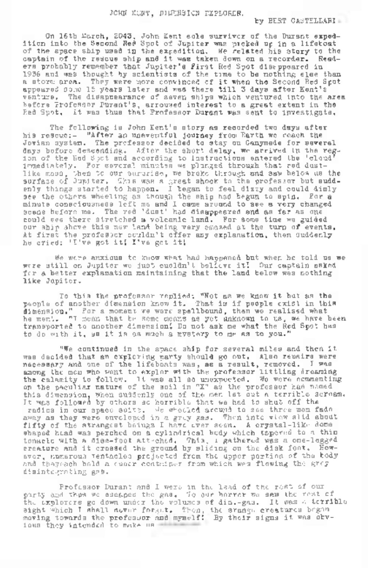#### JOHN KENT, DIMENSION EXPLORER.

by BERT GASTELLARI.

On 16th March, 2043, John Kent sole survivor of the Durant exped-<br>ition into the Second Red Spot of Jupiter was picked up in a lifeboat<br>of the space ship used in the expedition. He related his story to the captain of the rescue ship and it was taken down on <sup>a</sup> recorder. Readers probably remember that Jupiter's First Red Spot disappeared in 1936 and was thought by scientists of the time to be nothing else than <sup>a</sup> storm area. They were more convinced of it when the Second Red Spot appeared some <sup>15</sup> years later and was there till <sup>3</sup> days after Kent'<sup>s</sup> venture. The disappearance of seven ships which ventured into the area before Professor Purant's, arroused interest to a great extent in the Red Spot. It was thus that Professor Durant was sent to investigate.

The following is John Kent's story as recorded two days after his rescue:- "After an uneventful journey from Earth we reach the Jovian system. The professor decided to stay on Ganymede for several days before descending. After the short delay, we arrived in the region of the Red Spot and according to instructions entered the 'cloud' immediately. For several minutes we plunged through that red dust-The most than 20 our survivier, we brake through and saw helow us the most face of Juniter, Thus make a great shoot an end saw helow us and saw helow in the most end of the most end of the most end of the most end of the s minute consciousness left me and I came around to see a very changed scene before me. The red 'dust' had disappeared and as far as one could see there stretched a volcanic land. For some time we guided our ship showe this new land being very appeal at the turn of events. At first the professor couldn't offer any explanation, then suddenly he cried: 'I've got itl I've got it'.

We were anxious to know what had happened but when he told us we were still on Jupiter we just cuoldn't believe itl Our captain asked for a better explanation maintaining that the land below was nothing like Jupiter.

To this the professor replied: "Not as we know it but as the people of another dimension know it. That is if people exist in this dimension." For a moment we were spellbound, then we realised what<br>he ment. "I mean that be some means as yet unknown to us, we have been<br>transported to another dimension. Do not ask me what the Red Spot has to do with it, as it is as much <sup>a</sup> mystery to me as to you."

"We continued in the space ship for several miles and then it was decided that an exploring party should go out. Also repairs were necessary and one of the lifeboats was, as a result, removed. I was among the men who went to explor with the professor littling dreaming among the men went to explire all so unexpected. We were commenting<br>the ealamity to follow. It was all so unexpected. We were commenting<br>on the paculist nature of the soil in "X" as the professor had named this dimension, when suddenly one of the men let out a terrible scream. It was followed by others so horrible that we had to shut off the radios in our space suits. We wheeled around to see three men fade away as they were enveloped in a grey gas. Then into view slid about fifty of the strangest beings I have ever seen. A crystal-like dome shaped head was perched on a cylindrical body which tapered to a thin tenacle with a disc-foot attached. This, <sup>1</sup> gathered was a one-legged creature and it crossed the ground by sliding on the disk foot. However, numerous tentacles projected from the upper portion of the body and theyoach hold a cuoir container from which wes flowing the grey disintegrating gas.

Professor Durant and I were in the lead of the rest of our<br>party and thus we escaped the gas. To our horror we saw the rest of the explorers go down under the volumes of dis.-gas. It was a terrible sight which I shall never forget. Then, the srango creatures began<br>moving towards the professor and myself! By their signs it was obvious they intended to make as well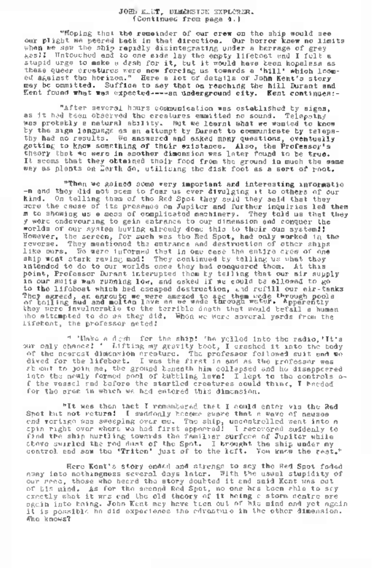#### JOS'; KELT, DIMENSION EXPLORER. (Continued from page 4.)

"Hoping that the remainder of our crew on the ship would see our plight we peered back in that direction. Our horror knew no limits when we saw the ship rapidly disintegrating under a barrage of grey gas! I Untouched and to one side lay the empty lifeboat and I felt a stupid urge to make a desh for it, but it would have been hopeless as<br>these queer creatures were now forcing us towards a 'hill' which loom-<br>these queer creatures were now forcing us towards a 'hill' which loomed against the horizon." Here a lot of details of John Kent'<sup>s</sup> story may be ommitted. Suffice to say that on reaching the hill Durant and Kent found what was expected------an underground city. Kent continues:-

"After several hours communication was established by signs, as it had been observed the creatures emmitted no sound. Telepathy was probably a natural ability. But we learnt what we wanted to know by the sign language as an attempt by Durant to communicate by telepathy had no results. We answered and esked many questions, oventually getting to know something of their existance. Also, the Professor'<sup>s</sup> theory that we were in another dimension was later found to be true. It seems that they obtained thoir food from the ground in much the same way as plants on Earth do, utilising the disk foot as a sort of root.

"Then we gained some very important and interesting informatio -n and they did not seem to fear us ever divulging it to others of our On telling them of the Red Spot they said they said that they were the cause of its presence on Jupiter and further inquiries led them <sup>m</sup> to showing us <sup>a</sup> mass of complicated machinery. They told us that they y were endevouring to gain entrance to our dimension and conquer the worlds of our system having already done this to their oun system!J However, the screen, for such was tho Red Spot, had only worked in the reverse. They mentioned the entrance and destruction of other ships like ours. We were informed that in one case the entire crew of one ship went stark raving mad! They continued by telling us what they intended to do to our worlds once they had conquered them. At this point, Professor Durant interupted them by telling that our air supply in our suits was running low, and asked if we could be allowed to go to the lifeboat which had escaped destruction, aid refill our air-tanks<br>They agreed, an enroute we were amazed to ase them wede through pools<br>of boiling mud and molten lave an we wade through water. Apparently they were invulneratie to the terrible death that would befall a human who attempted to do as they did. When we were several yards from the lifeboat, the professor acted!

" 'Make a desh for the ship! 'he yelled into the radio,'It's our only chance! ' Lifting my gravity boot, I crashed it into the body of the nearest dimension creature. The professor followed suit and we dived for the lifeboat. I was the first in and as the professor was abiout to join me, the ground beneath him collapsed and he disappeared into the newly formed pool of bubbling lava! I lept to the controls of the vessel and before the startled creatures could think. I heeded for the area in which we had entered this dimension.

"It was then that I remembered that I could enter via the Red Spot but not return! I suddonly became suare that a wave of neusea end vertigo was sweeping over me. The ship, uncontrolled went into a chair into a controlled went into a chair find the ship hurtling towards the familiar surface of Jupiter while above swirled the red dust of the Spot. I brought the ship under my control and saw the 'Triton' just of to the left. Yon know the rest."

Here Kent's story ended and strenge to say the Red Spot faded away into nothingness several days later. With the usual stupidity of our reed, those who heard the story doubted it and said Kent was out of his mind. As for the second Red Spot, no one has been able to say<br>exactly what it was and the old theory of it being a storm centre are ogain into being. John Kent may have tion out of his mind and yet again it is possible he did experience the edrasture in the other dimension. Who knows?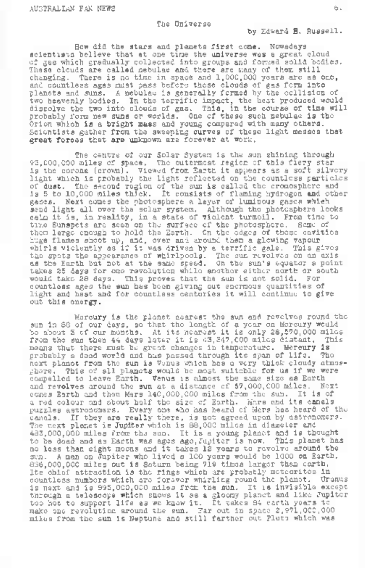The Universe

by Edward H. Russell.

How did the stars and planets first come. Nowadays scientists believe that at one time the universe was a great cloud of gas which gradually collected into groups and formed solid bodies. These clouds are called nebulae and there are many of them still changing. There is no time in space and 1,000,000 years are as one, and countless ages must pass before these clouds of gas form into planets and suns. <sup>A</sup> nebulae is generally formed by the collision of two heavenly bodies. In the terrific impact, the heat produced would dissolve the two into clouds of gas. This, in the course of time will probably form new suns or worlds. One of these such nebulae is the Orion which is a bright mass and young compared with many others. Scientists gather from the sweeping curves of these light masses that great forces that are unknown are forever at work.

The centre of our Solar System is the sun shining through 93,000,000 miles of space. The outermost region of this fiery star is the corona (crown). Viewed from Earth it appears as a soft silvery light which is probably the light reflected on the countless particles of dust. The second region of the sun is called the cromosphere and is <sup>5</sup> to 10,000 miles thick. It consists of flaming hydrogen and other gases. Next comes the photosphere a layer of luminous gases whieh send light all over the solar system. Although the photosphere looks calm it is, in reality, in a state of violent turmoil. From time to time Sunspots are seen on the surface of the photosphere. Some of them large enough to hold the Earth. On the edges of these cavities huge flames shoot up, and, over and around them a glowing vapour whirls violently as if it was driven by <sup>a</sup> terrific gale. This gives the spots the appearance of whirlpools. The sun revolves on an axis as the Earth but not at the same speed. On the sun's equator a point takes 25 days for one revolution while another either north or south would take 28 days. This proves that the sun is not solid. For countless ages the sun has been giving out enormous quantities of light and heat and for countless centuries it will continue to give out this energy.

Marcury is the planet nearest the sun and revolves round the sun in 88 of our days, so that the length of a year on Mercury would<br>bo about 3 cf our months. At its nearest it is only 28,570,000 miles<br>from the sun then 44 days later it is 43,347,000 miles distant. This means that there must be great changes in temperature. Mercury is probably a dead world and has passed through its span of life. next planet from the sun is Venus which has a very thick cloudy atmosphere. This of all planets would be most suitable for us if we were compelled to leave Earth. Venus is almost the same size as Earth and revolves around the sun at a distance of 67,000,000 miles. Next comes Earth and then Mars 140,000,000 miles from the sun. It is of a red colour and about half the size of Earth. Mars and its canals puzzles astronomers. Every one who has heard of Mars has heard of the canals. If they are really there, is not agreed upon by astronomers. The next planet is Jupiter which is 88,000 miles in diameter and 483,000,000 miles from the sun. It is <sup>a</sup> young planet and is thought to be dead and as Earth was ages ago,Jupiter is now. This planet has no less than eight moons and it takes <sup>12</sup> years to revolve around the sense and control in the second of the second of the control of the control of the control of the control of the control of the control of the control of the control of the control of the control of the control of the cont make one revolution around the sun. Far out in space 2,971,000,000 miles from the sun is Neptune and still farther out Pluto which was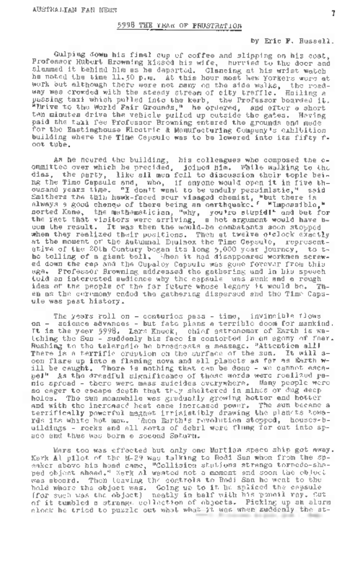# 5998 THE YEAR OF FRUSTRATION

### by Eric F. Russell.

Gulping down his final cup of coffee and slipping on his coat, Professor Hubert Browning kissed his wife, hurried to the door and slammed it behind him as he departed. Glancing at his wrist watch he noted the time 11.JO p.m. At this hour most New Yorkers were at work but although there were not many on the side walks, the road-<br>way wes crowded with the steady stream of city traffle. Hoiling a way was crowded with the steady stream of city traffic. passing taxi which pulled into the kerb, the Professor boarded it. "Drive to the World Fair Grounds," he ordered, and after a short ten minutes drive the vehicle pulled up outside the gates. Having paid the taxi fee Professor Browning entered the grounds and made for the Eastinghouse Electric & Monufacturing Company's exhibition building where the Time Capsule was to be lowered into its fifty foot tube.

As he neared the building, his colleagues who composed the c-ommittee over which he precided, joined him. While walking to the dias, the party, like all men fell to discussion their topic being the Time Capsule and, who, if anyone would open it in five thny the rime vebears the, man, il miyone would pessimistic," said<br>Smithers the thin hawk-faced sour visaged chemist, "but there is<br>clumpys a good cheme of there being an earthquake." "Impossible," norted Kane, the mathematician, "why, you're stupid!" and but for the fact that visitors were arriving, a hot argument would have been the result. It was then the would-be combatants soon stopped when they realized their positions. Then at twelve o'clock exactly at the moment of the Autumnal Equinox the Time Capsule, representative of the 20th Century began its long 5,000 year journey, to t-he tolling of <sup>a</sup> giant bell. When it had disappeared workmen screwed down the cap and the Cupaloy Capsule was gone forever from this age. Professor Browning addressed the gathering and in his speech told an interested audience why the capsule was sunk and a rough idea of the people of the far future whose legacy it would be. Then as the ceremony ended the gathering dispersed and the Time Capsule was past history.

The years roll on - centurios pass - time, invincible flows on - science advances - but fate plans a terrible doom for mankind. on - susumer astronomer - sun rate phase are rerinic codemnation as the sun rate.<br>It is the year 5998. Lars Knuck, chief astronomer of Earth is wa-<br>Rushing to the teleradio he broadcasts a message. "Attention all! There is a terrific cruption on the surface of the sun. It will aoon flare up into a flaming nova and all planets as far as Earth will be caught. There is nothing that can be done - we cannot escape!" As the dreadful significance of these words were realized panic spread - there were mass suicides everywhere. Many people were so eager to escape death that they sheltered in mines or dug deep holes. The sun meanwhile was gradually growing hotter and hotter and with the increased heat see increased power. The sum became a<br>terrifically powerful magnet irrisistibly drawing the plants bows<br>ras its white but man in the structure of the street of an increased<br>ulidings - recks and ace and thus was born a second Saturn.

Mars too was effected but only one Martian space ship got away. Kark Al pilot of the M-2? was talking to Rodi San when from the speaker above his head came, "Collision stations strange torpodo-sha-<br>ped object ahead." Kerk Al wasted not a moment and soon the object<br>was aboard. Then leaving the controls to Rodi San ho went to the was sboord. Then teaving the controfs to food mass he went to the<br>hold whore the object was. Going up to it he spliced the capsule<br>(for such was the object), neatly in half with his pencil ray, cut of it tumbled a strange collection of objects. Picking up an alarm clock he tried to puzzle out what what it was when suddenly the st-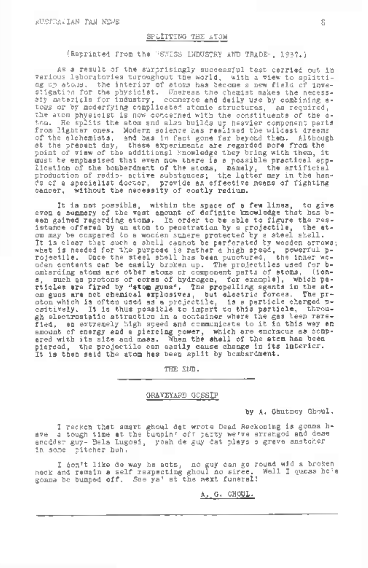## SPLITTING THE ATOM

(Reprinted from the "SWISS INDUSTRY AND TRADE", 1937-)

As a result of the surprisingly successful test carried out in various laboratories turoughout the world, with a view to solitting up atoms, the interior of atoms has become a new field of investigation for the physicist. Whereas the chemist makes the necessary materials for industry, commerce and daily use by combining a-toms or by moderfying complicated atomic structures, as required, the atom physicist is now concerned with the constituents of the atom. He splits the atom and also builds up heavier component parts from lighter ones. Modern science has realized the wildest dreams of the alchemists, and bas in fact gone far beyond them. Although at the present day, these experiments are regarded more from the point of view of the additional knowledge they bring with them, it must be emphasised that even now there is <sup>a</sup> possible practical appalleation of the bombardment of the atoms, namely, the artificial<br>production of radio- active substances; the latter may in the hands of a specialist doctor, provide an effective means of fighting cancer. without the necessity of costly redium.

It is not possible, within the space of a few lines, to give even a summary of the vast amount of definite knowledge that has been gained regarding atoms. In order to be able to figure the resistance offered by an atom to penetration by a projectile, the atom may be compared to a wooden snhere protected by <sup>a</sup> steel shell. bu many be compared to be well cannot be parformed by wedden strated in the part of the part of the part of the part of the state of the part of the part of the part of the part of the control point of the control of the c rticles are fired by "atom guns". The propelling agents in the atom guns are not chemical explosives, but electric forces. The proton which is often used as a projectile, is <sup>a</sup> particle charged p-ositively. It is thus possible to impart to this particle, through electrostatic attraction in a container where the gas been rarefied, an extremely high speed and communicate to it in this way an amount of energy and a piercing power, which are encrecus as compared with its size and mass. When the shell of the atom has been pierced, the projectile can easily cause change in its interior. It is then said the atom has been split by bombardment.

THE END.

#### GRAVEYARD GOSSIP

by A. Ghutney Ghoul.

I reckon that smart ghoul dat wrote Dead Reckoning is gonna have a tough time at the bumpin' off party we've arranged and dese anodder guy- Bela Lugosi, yeah de guy dat plays a grave snatcher in some pitcher huh.

I don't like de way he acts, no guy can go round wid <sup>a</sup> broken neck and remain a self respecting ghoul no siree. Well I guess he'<sup>s</sup> gonna be bumped off. See ya\* at the next funeral!

A. G. GHOUL.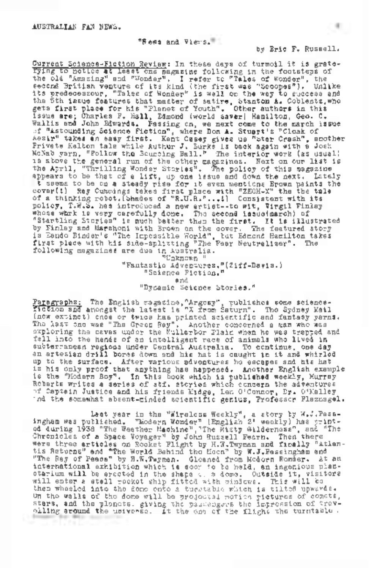#### "News and Views.'

by Eric F. Russell.

Current Science-Flotion Review: In these days of turmoil it is grate-<br>Tying in the following in the following in the footsteps of<br>the old "Amering" spi "Nondar". I refer to "Tales of Wonder", the<br>econd Britlan venture of i sir "Aesounging opienee rietsion", where non all attuary's "Closm of<br>Aesir" takes an easy first. Kent Casey gives us "Star Crash", another<br>Private Kelton tale while Authur J. Burks is back again with a Josh McNab yarn, "Follow the Bouncing Ball." The interior work (as usual) maxes were realism the sourcing Mail." The interior work (as usually the above the general run of the other magnetics. Next on our list is<br>the April, "Thrilling Wonder Stories". The policy of this magnatus<br>appears to be th cover(l) Ray Cummings takes first place with "ZEOH-X" the the tale of <sup>a</sup> thinking robot.(Shades of "R.U.R."...I) Consistent with its policy, T.W.S. has introduced <sup>a</sup> new artist—to wit, Virgil Finlay whose whose west carefully done. The second issue(march) of<br>"Startling Stories" is much better than the first. It is illustrated by Finlay and Marchoni with Brown on the cover. The featured story is Eando Binder's "The Impossible ¥/orld", but Edmond Hamilton takes first place with his side-splitting "The Fear Neutralizer". The following magazines are due in Australia. "Unknown "

"Fantastic Adventures."(Ziff-Lavis.) "Science Fiction." and "Dynamic Science Stories."

Paragraphs; The English magazine,"Argosy", publishes some science-fiction and amongst the latest is "X from Saturn". The Sydney Mail incertain the problem in the second contract the second fine which is the second of the second second in the second second in the second second second second second second second second second second second second second s subterranean regions under Central Australia. To continue, one day an artesian drill bores down and his hat is caught in it and whirled up to the surface. After various adventures he escapes and his hat is his only proof that anything has happened. Another English example is the "Modern Boy". In this book which is published weekly, Murray Roberts writes <sup>a</sup> series of stf. stories which concern the adventures of Captain Justice and his friends Midge, Len O'Connor, Nr. O'Malley ond the somewhat absent-minded scientific genius, Professor Flaznagel.

.<br>Ingham was published. "Modern Wonder" (English 2' weekly) has print-<br>ed during 1938 "The Weather Machine","The Misty Wilderness", and "The Chronicles of a Space Voyager" by John Russell Fearn. Then there were three articles on Rocket By John hussell recent inclusters<br>"As Returns" and "The World Behind tho Moon" by W.J.Passingham and<br>"The Ray of Peace" by H.W.Twyman. Gleaned from Modern Wonder. At an international exhibition which is soon to be held, an ingenious plan-etarium will be erected in the shape cu <sup>a</sup> dome. Outside it, visitors will enter a stell recket ship fitted with windows. This will be then wheeled into the dome onto a turntable which is tilted upwards. On tho walls of the dome will be projected motion pictures of comets, stars, and the planets, giving the passengers the Impression of travpiling around the universe. At the one of the flight the turntable  $\cdot$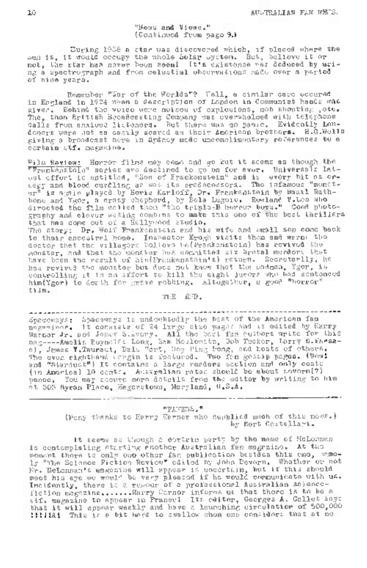#### "Hews and Views," (Continued from page 9.)

During 1938 a star was discovered which, if placed where the<br>Sun it would occupy the whole Solar System. But, believe it or not, the star has never been seen! It's existence was deduced by using a spectrograph and from celestial observations made over a period of nine years.

Remember "War of the Worlds"? Well, a similar case occured in England in 1924 when a description of London in Communist hands was given. Behind the voice were noises of explosions, mob shouting ,otc« The, then British Broadcasting Company was overwhelmed with telephone calls from anxious listeners. But there was no panic. Evidently Londoners were not as casily scared as their American brothers. H.G.Wells giving a broadcast here in Sydney made uncomplimentary references to a certain stf. magazine.

Film Review; Horror films may come and go but it seems as though the "Frankenstein" series aro destined to go on for ever. Universals lat-"runsweated" of the solution of Transmeters and it worry bit as over<br>the circuit is specifically as well is preference of the inflamous "more bit as over<br>the initial of the solution of the solution of the solution and Most to their ancestral home. Inspector Krogh visits thorn and warns the doctor that tho villagers believe he(Frankenstein) has revived the monster, and that the monster has committed six brutal murders that have been the result of his(Frankenstein1s) return. Socretarlly, he has revived the monster but does not know that the madman, Ygor, is controlling it in an effort to kill the eight jurors who had sentenced him(Ygor) to death for grave robbing. Altogether, a good "horror" film.

TEE ElID .

Spaceways: Spaceways is undoubtedly the best of the American fan magpenines. It consists of 24 large size pages and is edited by Harry magesiscr. It considers of as ixportance was as a series write for this<br>Warner Jr. and Johns S.Avery. All the best fan authors write for this ci, James V.Tauraui, Dale Hart, Hoy Fing Bong, and hosts of others. The uven righthand congin is featured. Two fan gossip pages. (Wow! and "Stardust") It contains a large readers section and only costs (in America) <sup>10</sup> cents. Australian rates should be about sevorn(7) pence. You may secure more details from the editor by writing to him at <sup>303</sup> Byran Place, Hagerstown, Maryland, U.S.A.

#### "FANEWS."

(Many thanks to Harry Warner who supplied much of this nows.) by Bert Castellari.

It seems as though a cortain party by the name of McLennan is contemplating starting another Australian fan magazine. At the moment there is only one other fan publication besides this one, namely "The Science Fiction Review" edited by John Devern. Whether or not Ly "The Science Fiction Novicw" called by John Levern, "Whather Or nou<br>Fry Helmusi's magazine will sprear is uncertain, but if this should<br>meet his eye we would be very pleased if he would communicate with us. Incidently, there is a rumour of a professional Australian ac)encefiction magazine.......Harry Warner informs us that there is to be <sup>a</sup> stf, magazine to appear in France! Its editor, Georges A. Gallet says that it will appear weekly and have a launching circulation of 500,000 !!!!!&! This is a bit hard to swallow' when one considers that at no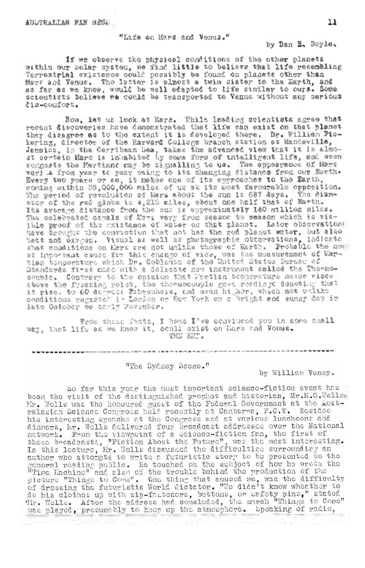"Life on Kars and 'Venus."

by Dan E. Boyle.

If we observe the physical conditions of the other planets within our Solar system, we find little to believe that life resembling Terrestrial existence could possibly be found on planets other than Kars and Venus. The latter is almost a twin sister to the Earth, and as far as we know, would be well adapted to life similar to ours. Some scientists believe we could be transported to Venus without any serious dis-comfort.

Mow, let us look at Mars. While leading scientists agree that<br>recent discoveries have demonstrated that life can exist on that planet they disagree as to the extent it is developed there. Dr. William Pic-kering, director of the Harvard College branch station at Mandeville, Jamaica, in the Carribean Sea, takes the advanced view that it is almo-<br>Jemaics, in the Carribean Sea, takes the advanced view that it is almo-<br>st certain Mars is inhabited by some form of intelligent life, and even suggests the Martians may be signalling to us. The appearance of Mars Every two years or so, it makes one of its approaches to the Earth, coming within 35,000,000 miles of us at its most favourable opposition. Courage the control of the sun is 4,215 million of the red globe is 4,425 million million million million million million million million million million million million million million million million million million mill The celebrated canals of More vary from season to season which is vis-<br>ible proof of the existance of water on that planet. Later observation have brought the conviction that not has the rod planet water, but also bett and ouvrois. Visual as well as photographic observations, indicate<br>that conditions on there are not unlike those of Earth. Probable the conditions on there are interested in the<br>Eign tonyoution which Dr. Coblection of couple. Contrary to the opinion that Martian temperature never rises store the freezing point, the thermocouple gave readings denoting that<br>it rises to 60 degrees fahrenheik, and even higher, which not unlike<br>conditions register in London or Ecw York on a bright and sunny day in late October or early November.

From those facts, I hope I've convinced you in some small<br>way, that life as we know it, could exist on liars and Vonus. THE EHD.

.<br>In the contract case of the Contract and Contract and Contract and Contract and Contract and Contract and Cont

"The Sydney Scone."

by William Veney.

So far this yoar the most important science-fiction event has boen the visit of the destinguished prophet and historian, Mr.H.G.Wells Mr. Wells was the honourse guest of the Foderal Government at the Australasian Science Congress helf recently at Canberra, F.C.T. Bosidos ralation columns that is computed to compute the density of the first result is the interesting speechs of the Congress and at warious resolutional distinguished interest. It will delivered from the first of methods betwe nieuro "Things to Cowe". One thing that assumed me, was the difficulty of dressing the futuristic World dictator. "We didn't know whosther to or grossing who rewerselve work are cover who denote the clothes of the clothes of the clothes of the clothes of the clothes of the clothes of the clothes of the clothes of the clothes of the clothes of the clothes of the